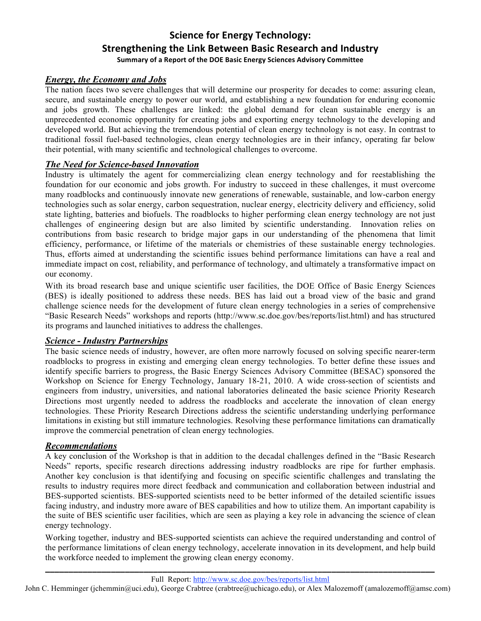# **Science
for
Energy
Technology: Strengthening
the
Link
Between
Basic
Research
and
Industry** Summary of a Report of the DOE Basic Energy Sciences Advisory Committee

## *Energy, the Economy and Jobs*

The nation faces two severe challenges that will determine our prosperity for decades to come: assuring clean, secure, and sustainable energy to power our world, and establishing a new foundation for enduring economic and jobs growth. These challenges are linked: the global demand for clean sustainable energy is an unprecedented economic opportunity for creating jobs and exporting energy technology to the developing and developed world. But achieving the tremendous potential of clean energy technology is not easy. In contrast to traditional fossil fuel-based technologies, clean energy technologies are in their infancy, operating far below their potential, with many scientific and technological challenges to overcome.

### *The Need for Science-based Innovation*

Industry is ultimately the agent for commercializing clean energy technology and for reestablishing the foundation for our economic and jobs growth. For industry to succeed in these challenges, it must overcome many roadblocks and continuously innovate new generations of renewable, sustainable, and low-carbon energy technologies such as solar energy, carbon sequestration, nuclear energy, electricity delivery and efficiency, solid state lighting, batteries and biofuels. The roadblocks to higher performing clean energy technology are not just challenges of engineering design but are also limited by scientific understanding. Innovation relies on contributions from basic research to bridge major gaps in our understanding of the phenomena that limit efficiency, performance, or lifetime of the materials or chemistries of these sustainable energy technologies. Thus, efforts aimed at understanding the scientific issues behind performance limitations can have a real and immediate impact on cost, reliability, and performance of technology, and ultimately a transformative impact on our economy.

With its broad research base and unique scientific user facilities, the DOE Office of Basic Energy Sciences (BES) is ideally positioned to address these needs. BES has laid out a broad view of the basic and grand challenge science needs for the development of future clean energy technologies in a series of comprehensive "Basic Research Needs" workshops and reports (http://www.sc.doe.gov/bes/reports/list.html) and has structured its programs and launched initiatives to address the challenges.

### *Science - Industry Partnerships*

The basic science needs of industry, however, are often more narrowly focused on solving specific nearer-term roadblocks to progress in existing and emerging clean energy technologies. To better define these issues and identify specific barriers to progress, the Basic Energy Sciences Advisory Committee (BESAC) sponsored the Workshop on Science for Energy Technology, January 18-21, 2010. A wide cross-section of scientists and engineers from industry, universities, and national laboratories delineated the basic science Priority Research Directions most urgently needed to address the roadblocks and accelerate the innovation of clean energy technologies. These Priority Research Directions address the scientific understanding underlying performance limitations in existing but still immature technologies. Resolving these performance limitations can dramatically improve the commercial penetration of clean energy technologies.

### *Recommendations*

A key conclusion of the Workshop is that in addition to the decadal challenges defined in the "Basic Research Needs" reports, specific research directions addressing industry roadblocks are ripe for further emphasis. Another key conclusion is that identifying and focusing on specific scientific challenges and translating the results to industry requires more direct feedback and communication and collaboration between industrial and BES-supported scientists. BES-supported scientists need to be better informed of the detailed scientific issues facing industry, and industry more aware of BES capabilities and how to utilize them. An important capability is the suite of BES scientific user facilities, which are seen as playing a key role in advancing the science of clean energy technology.

Working together, industry and BES-supported scientists can achieve the required understanding and control of the performance limitations of clean energy technology, accelerate innovation in its development, and help build the workforce needed to implement the growing clean energy economy.

Full Report: http://www.sc.doe.gov/bes/reports/list.html **\_\_\_\_\_\_\_\_\_\_\_\_\_\_\_\_\_\_\_\_\_\_\_\_\_\_\_\_\_\_\_\_\_\_\_\_\_\_\_\_\_\_\_\_\_\_\_\_\_\_\_\_\_\_\_\_\_\_\_\_\_\_\_\_\_\_\_\_\_\_\_\_\_\_\_\_\_\_\_\_\_\_\_**